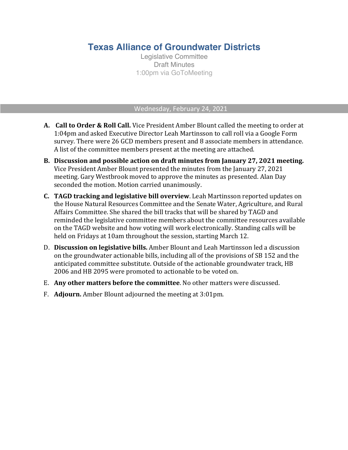## **Texas Alliance of Groundwater Districts**

Legislative Committee Draft Minutes 1:00pm via GoToMeeting

## Wednesday, February 24, 2021

- **A. Call to Order & Roll Call.** Vice President Amber Blount called the meeting to order at 1:04pm and asked Executive Director Leah Martinsson to call roll via a Google Form survey. There were 26 GCD members present and 8 associate members in attendance. A list of the committee members present at the meeting are attached.
- **B. Discussion and possible action on draft minutes from January 27, 2021 meeting.** Vice President Amber Blount presented the minutes from the January 27, 2021 meeting. Gary Westbrook moved to approve the minutes as presented. Alan Day seconded the motion. Motion carried unanimously.
- **C. TAGD** tracking and legislative bill overview. Leah Martinsson reported updates on the House Natural Resources Committee and the Senate Water, Agriculture, and Rural Affairs Committee. She shared the bill tracks that will be shared by TAGD and reminded the legislative committee members about the committee resources available on the TAGD website and how voting will work electronically. Standing calls will be held on Fridays at 10am throughout the session, starting March 12.
- D. **Discussion on legislative bills.** Amber Blount and Leah Martinsson led a discussion on the groundwater actionable bills, including all of the provisions of SB 152 and the anticipated committee substitute. Outside of the actionable groundwater track, HB 2006 and HB 2095 were promoted to actionable to be voted on.
- E. **Any other matters before the committee**. No other matters were discussed.
- F. **Adjourn.** Amber Blount adjourned the meeting at 3:01pm.